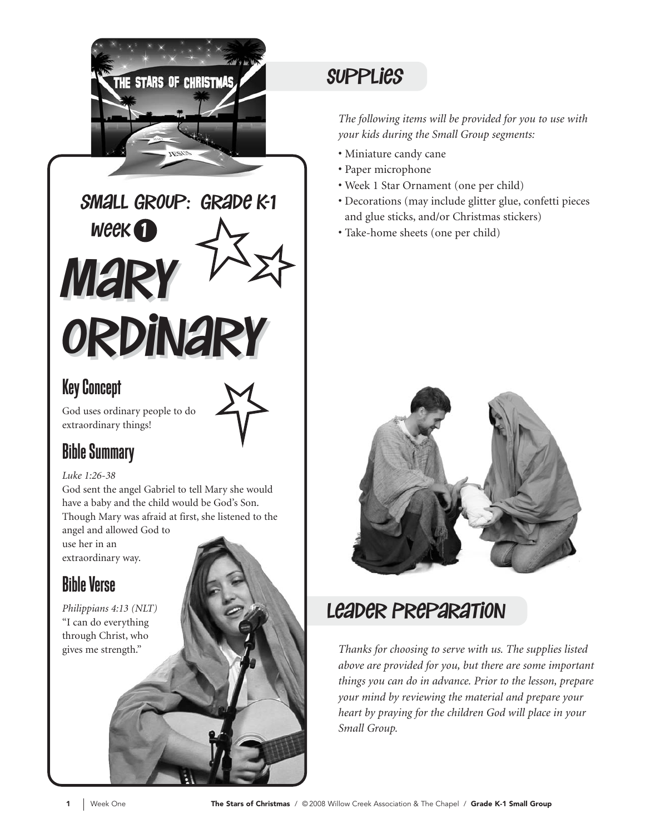

Mary Mary Ordinary Ordinary  $W$ eek $\bigcap$ small group: grade K-1

### Key Concept

God uses ordinary people to do extraordinary things!

## Bible Summary

#### *Luke 1:26-38*

God sent the angel Gabriel to tell Mary she would have a baby and the child would be God's Son. Though Mary was afraid at first, she listened to the

angel and allowed God to use her in an extraordinary way.

## Bible Verse

*Philippians 4:13 (NLT)*  "I can do everything through Christ, who gives me strength."

## **SUPPLIES**

*The following items will be provided for you to use with your kids during the Small Group segments:*

- Miniature candy cane
- Paper microphone
- Week 1 Star Ornament (one per child)
- Decorations (may include glitter glue, confetti pieces and glue sticks, and/or Christmas stickers)
- Take-home sheets (one per child)



## leader Preparation

*Thanks for choosing to serve with us. The supplies listed above are provided for you, but there are some important things you can do in advance. Prior to the lesson, prepare your mind by reviewing the material and prepare your heart by praying for the children God will place in your Small Group.*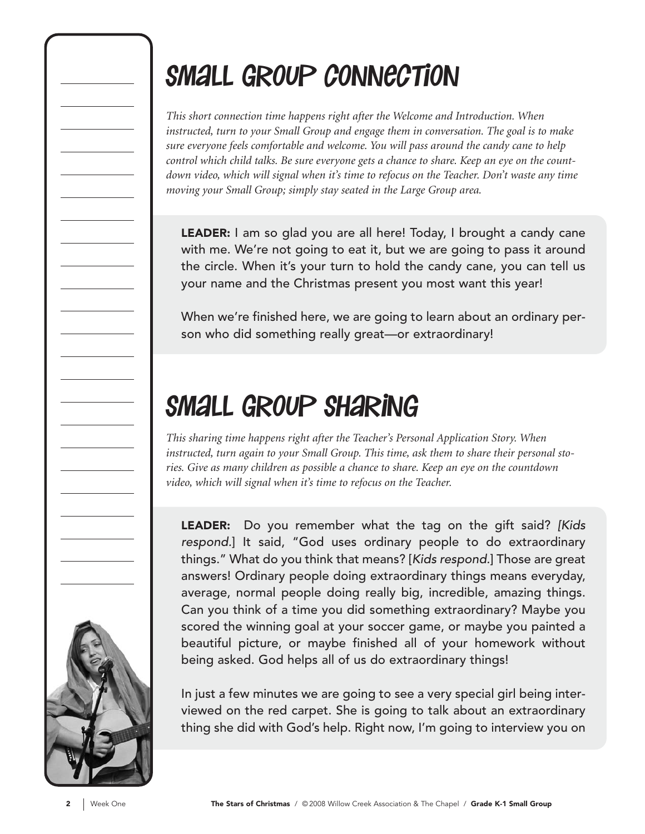## Small Group connection

*This short connection time happens right after the Welcome and Introduction. When instructed, turn to your Small Group and engage them in conversation. The goal is to make sure everyone feels comfortable and welcome. You will pass around the candy cane to help control which child talks. Be sure everyone gets a chance to share. Keep an eye on the countdown video, which will signal when it's time to refocus on the Teacher. Don't waste any time moving your Small Group; simply stay seated in the Large Group area.*

LEADER: I am so glad you are all here! Today, I brought a candy cane with me. We're not going to eat it, but we are going to pass it around the circle. When it's your turn to hold the candy cane, you can tell us your name and the Christmas present you most want this year!

When we're finished here, we are going to learn about an ordinary person who did something really great—or extraordinary!

## Small Group Sharing

*This sharing time happens right after the Teacher's Personal Application Story. When instructed, turn again to your Small Group. This time, ask them to share their personal stories. Give as many children as possible a chance to share. Keep an eye on the countdown video, which will signal when it's time to refocus on the Teacher.*

LEADER: Do you remember what the tag on the gift said? [Kids respond.] It said, "God uses ordinary people to do extraordinary things." What do you think that means? [Kids respond.] Those are great answers! Ordinary people doing extraordinary things means everyday, average, normal people doing really big, incredible, amazing things. Can you think of a time you did something extraordinary? Maybe you scored the winning goal at your soccer game, or maybe you painted a beautiful picture, or maybe finished all of your homework without being asked. God helps all of us do extraordinary things!

In just a few minutes we are going to see a very special girl being interviewed on the red carpet. She is going to talk about an extraordinary thing she did with God's help. Right now, I'm going to interview you on

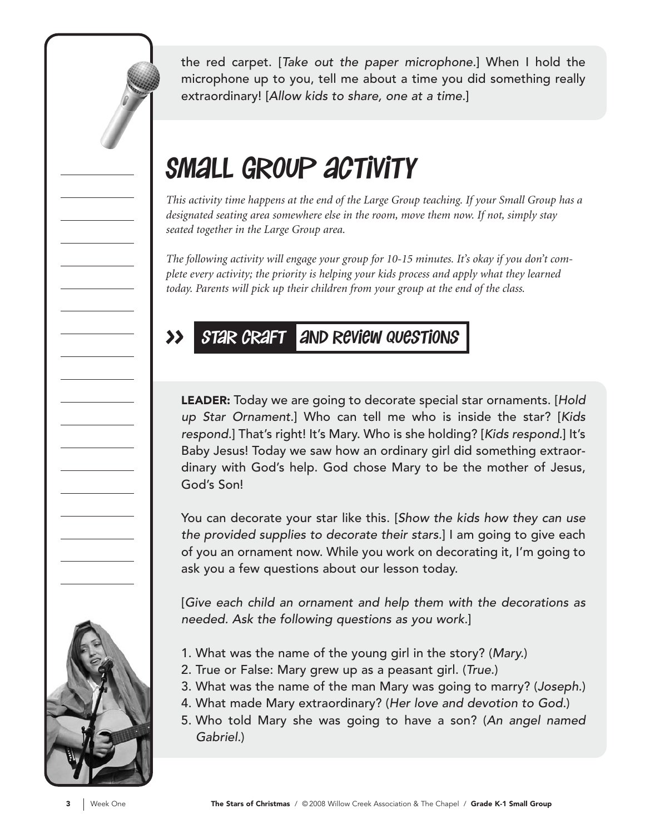the red carpet. [Take out the paper microphone.] When I hold the microphone up to you, tell me about a time you did something really extraordinary! [Allow kids to share, one at a time.]

## SMALL GROUP ACTIVITY

*This activity time happens at the end of the Large Group teaching. If your Small Group has a designated seating area somewhere else in the room, move them now. If not, simply stay seated together in the Large Group area.*

*The following activity will engage your group for 10-15 minutes. It's okay if you don't complete every activity; the priority is helping your kids process and apply what they learned today. Parents will pick up their children from your group at the end of the class.*

#### >> star craft and review questions

LEADER: Today we are going to decorate special star ornaments. [Hold] up Star Ornament.] Who can tell me who is inside the star? [Kids respond.] That's right! It's Mary. Who is she holding? [Kids respond.] It's Baby Jesus! Today we saw how an ordinary girl did something extraordinary with God's help. God chose Mary to be the mother of Jesus, God's Son!

You can decorate your star like this. [Show the kids how they can use the provided supplies to decorate their stars.] I am going to give each of you an ornament now. While you work on decorating it, I'm going to ask you a few questions about our lesson today.

[Give each child an ornament and help them with the decorations as needed. Ask the following questions as you work.]

- 1. What was the name of the young girl in the story? (Mary.)
- 2. True or False: Mary grew up as a peasant girl. (True.)
- 3. What was the name of the man Mary was going to marry? (Joseph.)
- 4. What made Mary extraordinary? (Her love and devotion to God.)
- 5. Who told Mary she was going to have a son? (An angel named Gabriel.)

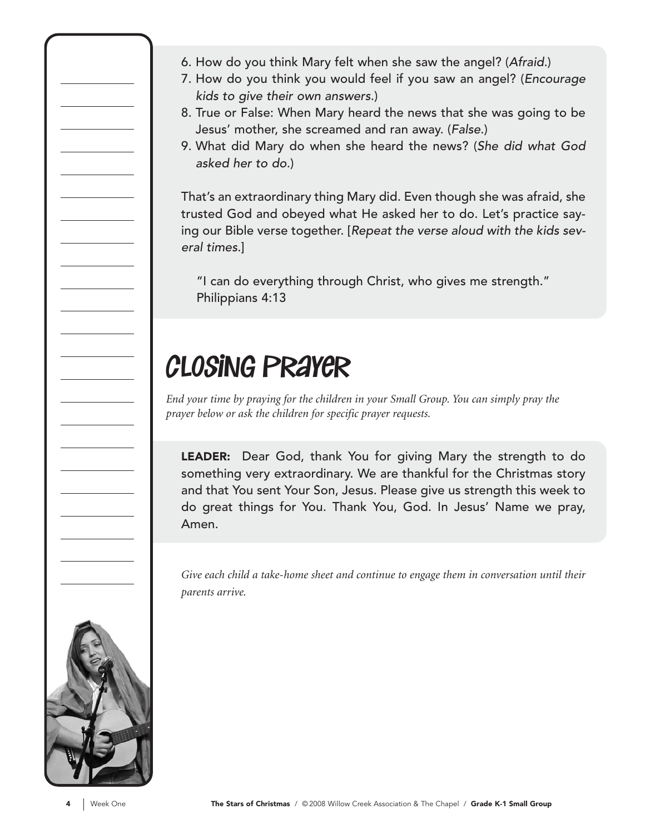- 6. How do you think Mary felt when she saw the angel? (Afraid.)
- 7. How do you think you would feel if you saw an angel? (Encourage kids to give their own answers.)
- 8. True or False: When Mary heard the news that she was going to be Jesus' mother, she screamed and ran away. (False.)
- 9. What did Mary do when she heard the news? (She did what God asked her to do.)

That's an extraordinary thing Mary did. Even though she was afraid, she trusted God and obeyed what He asked her to do. Let's practice saying our Bible verse together. [Repeat the verse aloud with the kids several times.]

"I can do everything through Christ, who gives me strength." Philippians 4:13

## closing prayer

*End your time by praying for the children in your Small Group. You can simply pray the prayer below or ask the children for specific prayer requests.*

LEADER: Dear God, thank You for giving Mary the strength to do something very extraordinary. We are thankful for the Christmas story and that You sent Your Son, Jesus. Please give us strength this week to do great things for You. Thank You, God. In Jesus' Name we pray, Amen.

*Give each child a take-home sheet and continue to engage them in conversation until their parents arrive.*